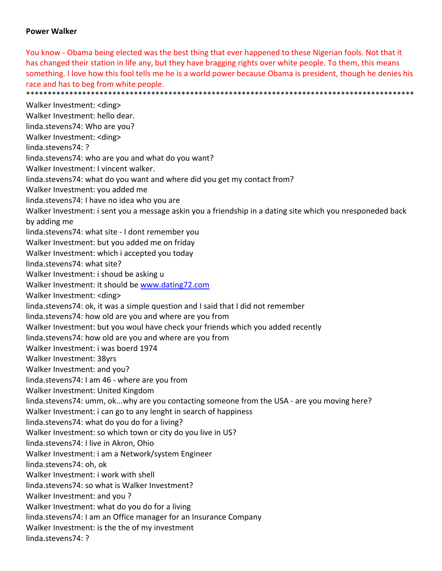## **Power Walker**

You know ‐ Obama being elected was the best thing that ever happened to these Nigerian fools. Not that it has changed their station in life any, but they have bragging rights over white people. To them, this means something. I love how this fool tells me he is a world power because Obama is president, though he denies his race and has to beg from white people.

\*\*\*\*\*\*\*\*\*\*\*\*\*\*\*\*\*\*\*\*\*\*\*\*\*\*\*\*\*\*\*\*\*\*\*\*\*\*\*\*\*\*\*\*\*\*\*\*\*\*\*\*\*\*\*\*\*\*\*\*\*\*\*\*\*\*\*\*\*\*\*\*\*\*\*\*\*\*\*\*\*\*\*\*\*\*\*\*\*\*

Walker Investment: <ding> Walker Investment: hello dear. linda.stevens74: Who are you? Walker Investment: <ding> linda.stevens74: ? linda.stevens74: who are you and what do you want? Walker Investment: I vincent walker. linda.stevens74: what do you want and where did you get my contact from? Walker Investment: you added me linda.stevens74: I have no idea who you are Walker Investment: i sent you a message askin you a friendship in a dating site which you nresponeded back by adding me linda.stevens74: what site ‐ I dont remember you Walker Investment: but you added me on friday Walker Investment: which i accepted you today linda.stevens74: what site? Walker Investment: i shoud be asking u Walker Investment: it should be www.dating72.com Walker Investment: <ding> linda.stevens74: ok, it was a simple question and I said that I did not remember linda.stevens74: how old are you and where are you from Walker Investment: but you woul have check your friends which you added recently linda.stevens74: how old are you and where are you from Walker Investment: i was boerd 1974 Walker Investment: 38yrs Walker Investment: and you? linda.stevens74: I am 46 ‐ where are you from Walker Investment: United Kingdom linda.stevens74: umm, ok...why are you contacting someone from the USA - are you moving here? Walker Investment: i can go to any lenght in search of happiness linda.stevens74: what do you do for a living? Walker Investment: so which town or city do you live in US? linda.stevens74: I live in Akron, Ohio Walker Investment: i am a Network/system Engineer linda.stevens74: oh, ok Walker Investment: i work with shell linda.stevens74: so what is Walker Investment? Walker Investment: and you ? Walker Investment: what do you do for a living linda.stevens74: I am an Office manager for an Insurance Company Walker Investment: is the the of my investment linda.stevens74: ?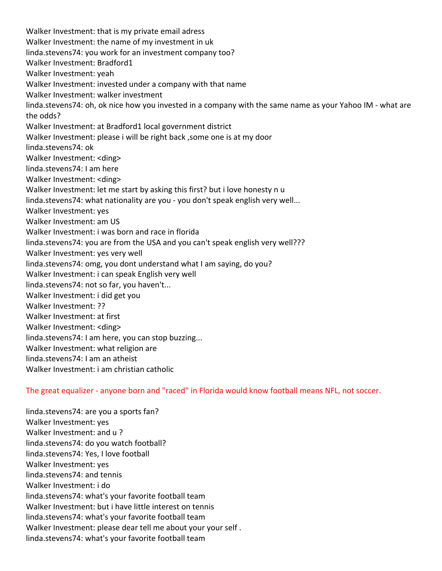Walker Investment: that is my private email adress Walker Investment: the name of my investment in uk linda.stevens74: you work for an investment company too? Walker Investment: Bradford1 Walker Investment: yeah Walker Investment: invested under a company with that name Walker Investment: walker investment linda.stevens74: oh, ok nice how you invested in a company with the same name as your Yahoo IM ‐ what are the odds? Walker Investment: at Bradford1 local government district Walker Investment: please i will be right back ,some one is at my door linda.stevens74: ok Walker Investment: <ding> linda.stevens74: I am here Walker Investment: <ding> Walker Investment: let me start by asking this first? but i love honesty n u linda.stevens74: what nationality are you - you don't speak english very well... Walker Investment: yes Walker Investment: am US Walker Investment: i was born and race in florida linda.stevens74: you are from the USA and you can't speak english very well??? Walker Investment: yes very well linda.stevens74: omg, you dont understand what I am saying, do you? Walker Investment: i can speak English very well linda.stevens74: not so far, you haven't... Walker Investment: i did get you Walker Investment: ?? Walker Investment: at first Walker Investment: <ding> linda.stevens74: I am here, you can stop buzzing... Walker Investment: what religion are linda.stevens74: I am an atheist Walker Investment: i am christian catholic

The great equalizer ‐ anyone born and "raced" in Florida would know football means NFL, not soccer.

linda.stevens74: are you a sports fan? Walker Investment: yes Walker Investment: and u ? linda.stevens74: do you watch football? linda.stevens74: Yes, I love football Walker Investment: yes linda.stevens74: and tennis Walker Investment: i do linda.stevens74: what's your favorite football team Walker Investment: but i have little interest on tennis linda.stevens74: what's your favorite football team Walker Investment: please dear tell me about your your self . linda.stevens74: what's your favorite football team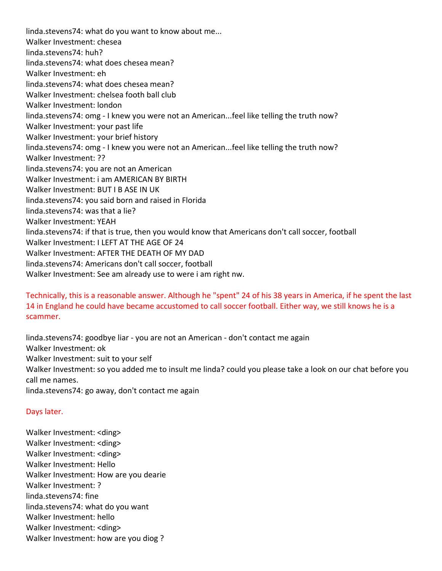linda.stevens74: what do you want to know about me... Walker Investment: chesea linda.stevens74: huh? linda.stevens74: what does chesea mean? Walker Investment: eh linda.stevens74: what does chesea mean? Walker Investment: chelsea footh ball club Walker Investment: london linda.stevens74: omg ‐ I knew you were not an American...feel like telling the truth now? Walker Investment: your past life Walker Investment: your brief history linda.stevens74: omg ‐ I knew you were not an American...feel like telling the truth now? Walker Investment: ?? linda.stevens74: you are not an American Walker Investment: i am AMERICAN BY BIRTH Walker Investment: BUT I B ASE IN UK linda.stevens74: you said born and raised in Florida linda.stevens74: was that a lie? Walker Investment: YEAH linda.stevens74: if that is true, then you would know that Americans don't call soccer, football Walker Investment: I LEFT AT THE AGE OF 24 Walker Investment: AFTER THE DEATH OF MY DAD linda.stevens74: Americans don't call soccer, football Walker Investment: See am already use to were i am right nw.

Technically, this is a reasonable answer. Although he "spent" 24 of his 38 years in America, if he spent the last 14 in England he could have became accustomed to call soccer football. Either way, we still knows he is a scammer.

linda.stevens74: goodbye liar ‐ you are not an American ‐ don't contact me again Walker Investment: ok Walker Investment: suit to your self Walker Investment: so you added me to insult me linda? could you please take a look on our chat before you call me names. linda.stevens74: go away, don't contact me again

### Days later.

Walker Investment: <ding> Walker Investment: <ding> Walker Investment: <ding> Walker Investment: Hello Walker Investment: How are you dearie Walker Investment: ? linda.stevens74: fine linda.stevens74: what do you want Walker Investment: hello Walker Investment: <ding> Walker Investment: how are you diog ?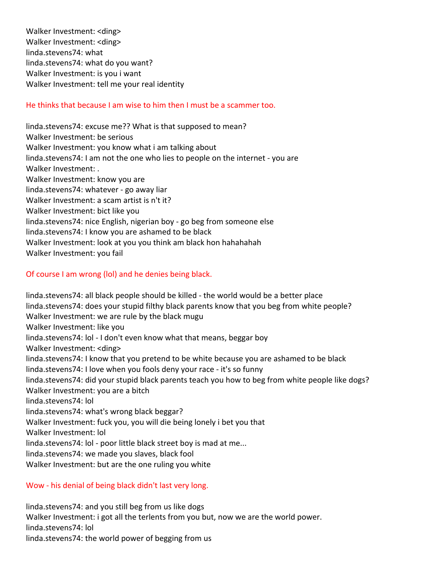Walker Investment: <ding> Walker Investment: <ding> linda.stevens74: what linda.stevens74: what do you want? Walker Investment: is you i want Walker Investment: tell me your real identity

# He thinks that because I am wise to him then I must be a scammer too.

linda.stevens74: excuse me?? What is that supposed to mean? Walker Investment: be serious Walker Investment: you know what i am talking about linda.stevens74: I am not the one who lies to people on the internet ‐ you are Walker Investment: . Walker Investment: know you are linda.stevens74: whatever ‐ go away liar Walker Investment: a scam artist is n't it? Walker Investment: bict like you linda.stevens74: nice English, nigerian boy ‐ go beg from someone else linda.stevens74: I know you are ashamed to be black Walker Investment: look at you you think am black hon hahahahah Walker Investment: you fail

## Of course I am wrong (lol) and he denies being black.

linda.stevens74: all black people should be killed ‐ the world would be a better place linda.stevens74: does your stupid filthy black parents know that you beg from white people? Walker Investment: we are rule by the black mugu Walker Investment: like you linda.stevens74: lol ‐ I don't even know what that means, beggar boy Walker Investment: <ding> linda.stevens74: I know that you pretend to be white because you are ashamed to be black linda.stevens74: I love when you fools deny your race ‐ it's so funny linda.stevens74: did your stupid black parents teach you how to beg from white people like dogs? Walker Investment: you are a bitch linda.stevens74: lol linda.stevens74: what's wrong black beggar? Walker Investment: fuck you, you will die being lonely i bet you that Walker Investment: lol linda.stevens74: lol ‐ poor little black street boy is mad at me... linda.stevens74: we made you slaves, black fool Walker Investment: but are the one ruling you white

### Wow ‐ his denial of being black didn't last very long.

linda.stevens74: and you still beg from us like dogs Walker Investment: i got all the terlents from you but, now we are the world power. linda.stevens74: lol linda.stevens74: the world power of begging from us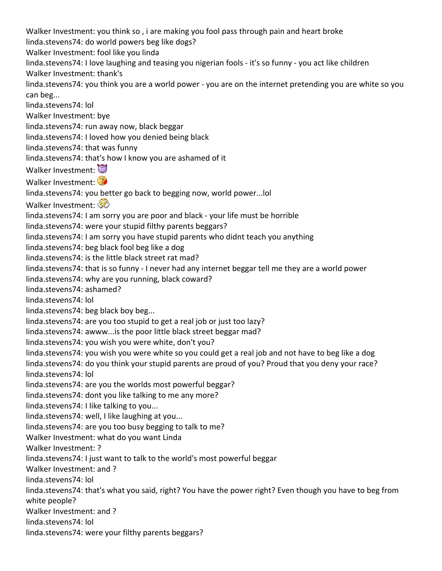Walker Investment: you think so , i are making you fool pass through pain and heart broke linda.stevens74: do world powers beg like dogs? Walker Investment: fool like you linda linda.stevens74: I love laughing and teasing you nigerian fools ‐ it's so funny ‐ you act like children Walker Investment: thank's linda.stevens74: you think you are a world power ‐ you are on the internet pretending you are white so you can beg... linda.stevens74: lol Walker Investment: bye linda.stevens74: run away now, black beggar linda.stevens74: I loved how you denied being black linda.stevens74: that was funny linda.stevens74: that's how I know you are ashamed of it Walker Investment: Walker Investment: linda.stevens74: you better go back to begging now, world power...lol Walker Investment: linda.stevens74: I am sorry you are poor and black ‐ your life must be horrible linda.stevens74: were your stupid filthy parents beggars? linda.stevens74: I am sorry you have stupid parents who didnt teach you anything linda.stevens74: beg black fool beg like a dog linda.stevens74: is the little black street rat mad? linda.stevens74: that is so funny ‐ I never had any internet beggar tell me they are a world power linda.stevens74: why are you running, black coward? linda.stevens74: ashamed? linda.stevens74: lol linda.stevens74: beg black boy beg... linda.stevens74: are you too stupid to get a real job or just too lazy? linda.stevens74: awww...is the poor little black street beggar mad? linda.stevens74: you wish you were white, don't you? linda.stevens74: you wish you were white so you could get a real job and not have to beg like a dog linda.stevens74: do you think your stupid parents are proud of you? Proud that you deny your race? linda.stevens74: lol linda.stevens74: are you the worlds most powerful beggar? linda.stevens74: dont you like talking to me any more? linda.stevens74: I like talking to you... linda.stevens74: well, I like laughing at you... linda.stevens74: are you too busy begging to talk to me? Walker Investment: what do you want Linda Walker Investment: ? linda.stevens74: I just want to talk to the world's most powerful beggar Walker Investment: and ? linda.stevens74: lol linda.stevens74: that's what you said, right? You have the power right? Even though you have to beg from white people? Walker Investment: and ? linda.stevens74: lol linda.stevens74: were your filthy parents beggars?